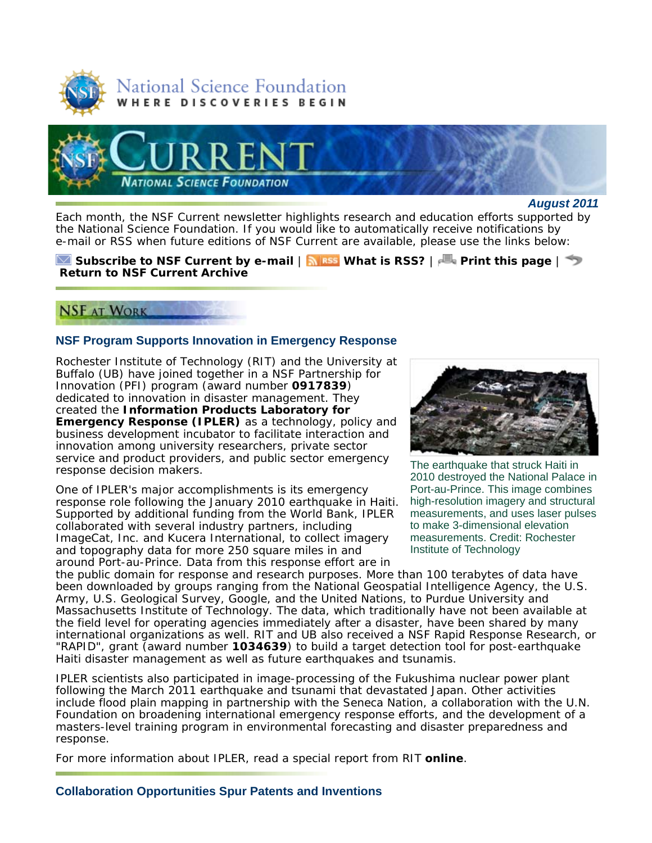



*August 2011*

Each month, the *NSF Current* newsletter highlights research and education efforts supported by the National Science Foundation. If you would like to automatically receive notifications by e-mail or RSS when future editions of *NSF Current* are available, please use the links below:

**Subscribe to** *NSF Current* **by e-mail** | **What is RSS?** | **Print this page** | **Return to** *NSF Current* **Archive**

# **NSF AT WORK**

### **NSF Program Supports Innovation in Emergency Response**

Rochester Institute of Technology (RIT) and the University at Buffalo (UB) have joined together in a NSF Partnership for Innovation (PFI) program (award number **0917839**) dedicated to innovation in disaster management. They created the **Information Products Laboratory for Emergency Response (IPLER)** as a technology, policy and business development incubator to facilitate interaction and innovation among university researchers, private sector service and product providers, and public sector emergency response decision makers.

One of IPLER's major accomplishments is its emergency response role following the January 2010 earthquake in Haiti. Supported by additional funding from the World Bank, IPLER collaborated with several industry partners, including ImageCat, Inc. and Kucera International, to collect imagery and topography data for more 250 square miles in and around Port-au-Prince. Data from this response effort are in



The earthquake that struck Haiti in 2010 destroyed the National Palace in Port-au-Prince. This image combines high-resolution imagery and structural measurements, and uses laser pulses to make 3-dimensional elevation measurements. Credit: Rochester Institute of Technology

the public domain for response and research purposes. More than 100 terabytes of data have been downloaded by groups ranging from the National Geospatial Intelligence Agency, the U.S. Army, U.S. Geological Survey, Google, and the United Nations, to Purdue University and Massachusetts Institute of Technology. The data, which traditionally have not been available at the field level for operating agencies immediately after a disaster, have been shared by many international organizations as well. RIT and UB also received a NSF Rapid Response Research, or "RAPID", grant (award number **1034639**) to build a target detection tool for post-earthquake Haiti disaster management as well as future earthquakes and tsunamis.

IPLER scientists also participated in image-processing of the Fukushima nuclear power plant following the March 2011 earthquake and tsunami that devastated Japan. Other activities include flood plain mapping in partnership with the Seneca Nation, a collaboration with the U.N. Foundation on broadening international emergency response efforts, and the development of a masters-level training program in environmental forecasting and disaster preparedness and response.

For more information about IPLER, read a special report from RIT **online**.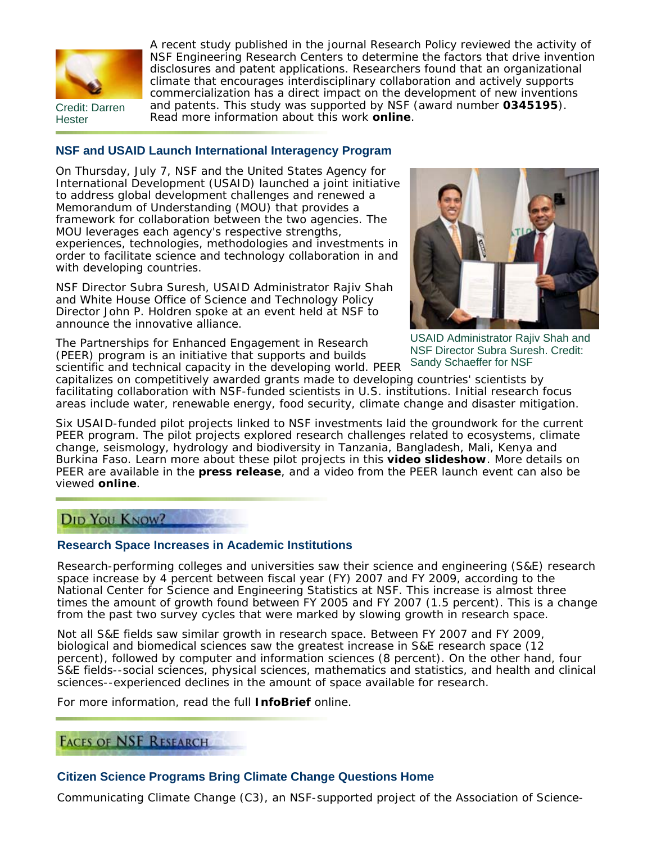

Credit: Darren **Hester** 

A recent study published in the journal *Research Policy* reviewed the activity of NSF Engineering Research Centers to determine the factors that drive invention disclosures and patent applications. Researchers found that an organizational climate that encourages interdisciplinary collaboration and actively supports commercialization has a direct impact on the development of new inventions and patents. This study was supported by NSF (award number **0345195**). Read more information about this work **online**.

**NSF and USAID Launch International Interagency Program**

On Thursday, July 7, NSF and the United States Agency for International Development (USAID) launched a joint initiative to address global development challenges and renewed a Memorandum of Understanding (MOU) that provides a framework for collaboration between the two agencies. The MOU leverages each agency's respective strengths, experiences, technologies, methodologies and investments in order to facilitate science and technology collaboration in and with developing countries.

NSF Director Subra Suresh, USAID Administrator Rajiv Shah and White House Office of Science and Technology Policy Director John P. Holdren spoke at an event held at NSF to announce the innovative alliance.

The Partnerships for Enhanced Engagement in Research (PEER) program is an initiative that supports and builds scientific and technical capacity in the developing world. PEER



USAID Administrator Rajiv Shah and NSF Director Subra Suresh. Credit: Sandy Schaeffer for NSF

capitalizes on competitively awarded grants made to developing countries' scientists by facilitating collaboration with NSF-funded scientists in U.S. institutions. Initial research focus areas include water, renewable energy, food security, climate change and disaster mitigation.

Six USAID-funded pilot projects linked to NSF investments laid the groundwork for the current PEER program. The pilot projects explored research challenges related to ecosystems, climate change, seismology, hydrology and biodiversity in Tanzania, Bangladesh, Mali, Kenya and Burkina Faso. Learn more about these pilot projects in this **video slideshow**. More details on PEER are available in the **press release**, and a video from the PEER launch event can also be viewed **online**.

# DID YOU KNOW?

## **Research Space Increases in Academic Institutions**

Research-performing colleges and universities saw their science and engineering (S&E) research space increase by 4 percent between fiscal year (FY) 2007 and FY 2009, according to the National Center for Science and Engineering Statistics at NSF. This increase is almost three times the amount of growth found between FY 2005 and FY 2007 (1.5 percent). This is a change from the past two survey cycles that were marked by slowing growth in research space.

Not all S&E fields saw similar growth in research space. Between FY 2007 and FY 2009, biological and biomedical sciences saw the greatest increase in S&E research space (12 percent), followed by computer and information sciences (8 percent). On the other hand, four S&E fields--social sciences, physical sciences, mathematics and statistics, and health and clinical sciences--experienced declines in the amount of space available for research.

For more information, read the full **InfoBrief** online.

## **FACES OF NSF RESEARCH**

## **Citizen Science Programs Bring Climate Change Questions Home**

Communicating Climate Change (C3), an NSF-supported project of the Association of Science-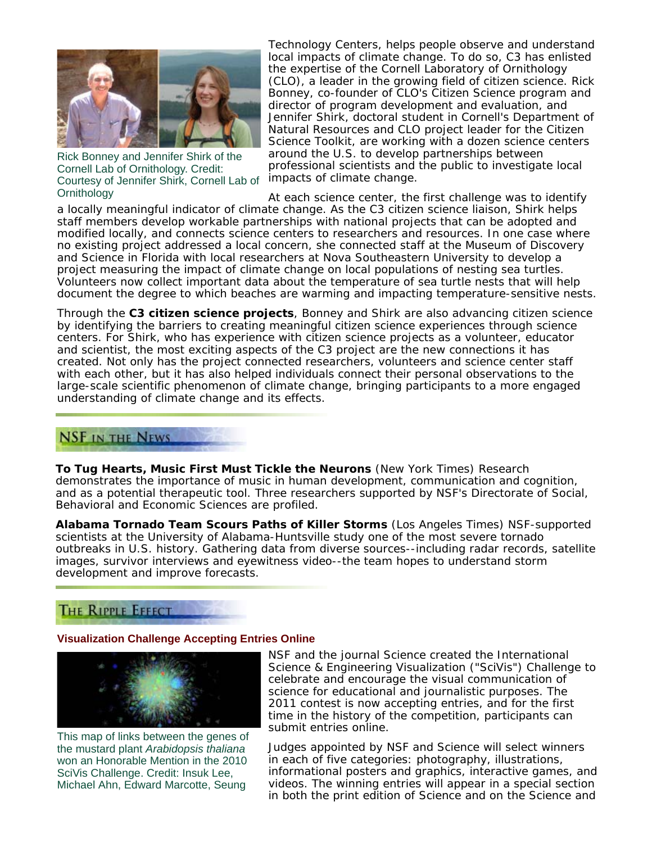

Rick Bonney and Jennifer Shirk of the Cornell Lab of Ornithology. Credit: Courtesy of Jennifer Shirk, Cornell Lab of **Ornithology** 

Technology Centers, helps people observe and understand local impacts of climate change. To do so, C3 has enlisted the expertise of the Cornell Laboratory of Ornithology (CLO), a leader in the growing field of citizen science. Rick Bonney, co-founder of CLO's Citizen Science program and director of program development and evaluation, and Jennifer Shirk, doctoral student in Cornell's Department of Natural Resources and CLO project leader for the Citizen Science Toolkit, are working with a dozen science centers around the U.S. to develop partnerships between professional scientists and the public to investigate local impacts of climate change.

At each science center, the first challenge was to identify a locally meaningful indicator of climate change. As the C3 citizen science liaison, Shirk helps staff members develop workable partnerships with national projects that can be adopted and modified locally, and connects science centers to researchers and resources. In one case where no existing project addressed a local concern, she connected staff at the Museum of Discovery and Science in Florida with local researchers at Nova Southeastern University to develop a project measuring the impact of climate change on local populations of nesting sea turtles. Volunteers now collect important data about the temperature of sea turtle nests that will help document the degree to which beaches are warming and impacting temperature-sensitive nests.

Through the **C3 citizen science projects**, Bonney and Shirk are also advancing citizen science by identifying the barriers to creating meaningful citizen science experiences through science centers. For Shirk, who has experience with citizen science projects as a volunteer, educator and scientist, the most exciting aspects of the C3 project are the new connections it has created. Not only has the project connected researchers, volunteers and science center staff with each other, but it has also helped individuals connect their personal observations to the large-scale scientific phenomenon of climate change, bringing participants to a more engaged understanding of climate change and its effects.

## **NSF IN THE NEWS**

**To Tug Hearts, Music First Must Tickle the Neurons** (*New York Times*) Research demonstrates the importance of music in human development, communication and cognition, and as a potential therapeutic tool. Three researchers supported by NSF's Directorate of Social, Behavioral and Economic Sciences are profiled.

**Alabama Tornado Team Scours Paths of Killer Storms** (*Los Angeles Times*) NSF-supported scientists at the University of Alabama-Huntsville study one of the most severe tornado outbreaks in U.S. history. Gathering data from diverse sources--including radar records, satellite images, survivor interviews and eyewitness video--the team hopes to understand storm development and improve forecasts.

# **THE RIPPLE EFFECT**

### **Visualization Challenge Accepting Entries Online**



This map of links between the genes of the mustard plant *Arabidopsis thaliana* won an Honorable Mention in the 2010 SciVis Challenge. Credit: Insuk Lee, Michael Ahn, Edward Marcotte, Seung

NSF and the journal *Science* created the International Science & Engineering Visualization ("SciVis") Challenge to celebrate and encourage the visual communication of science for educational and journalistic purposes. The 2011 contest is now accepting entries, and for the first time in the history of the competition, participants can submit entries online.

Judges appointed by NSF and *Science* will select winners in each of five categories: photography, illustrations, informational posters and graphics, interactive games, and videos. The winning entries will appear in a special section in both the print edition of *Science* and on the *Science* and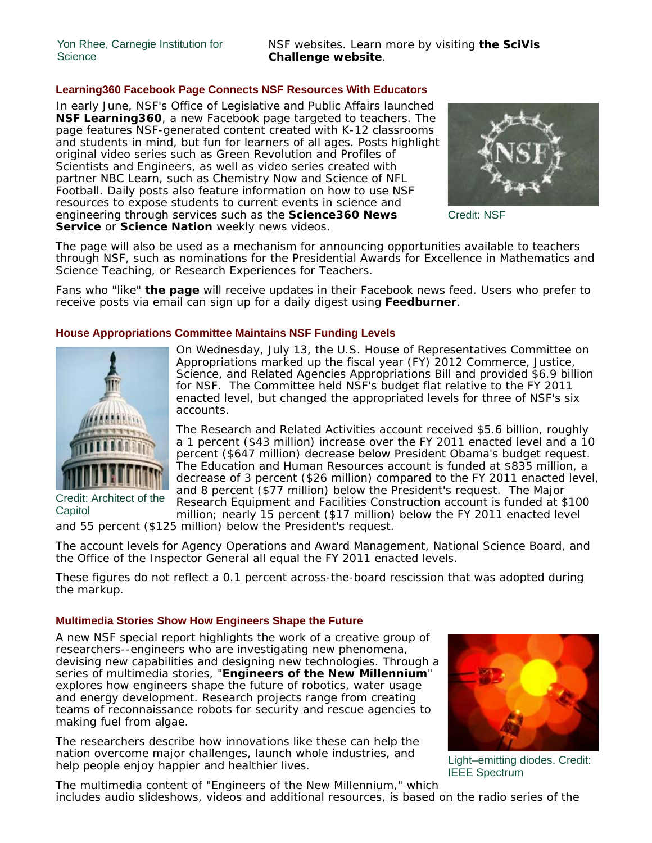#### **Learning360 Facebook Page Connects NSF Resources With Educators**

In early June, NSF's Office of Legislative and Public Affairs launched **NSF Learning360**, a new Facebook page targeted to teachers. The page features NSF-generated content created with K-12 classrooms and students in mind, but fun for learners of all ages. Posts highlight original video series such as *Green Revolution* and *Profiles of Scientists and Engineers*, as well as video series created with partner NBC Learn, such as *Chemistry Now* and *Science of NFL Football*. Daily posts also feature information on how to use NSF resources to expose students to current events in science and engineering through services such as the **Science360 News Service** or **Science Nation** weekly news videos.



Credit: NSF

The page will also be used as a mechanism for announcing opportunities available to teachers through NSF, such as nominations for the Presidential Awards for Excellence in Mathematics and Science Teaching, or Research Experiences for Teachers.

Fans who "like" **the page** will receive updates in their Facebook news feed. Users who prefer to receive posts via email can sign up for a daily digest using **Feedburner**.

#### **House Appropriations Committee Maintains NSF Funding Levels**



Credit: Architect of the **Capitol** 

On Wednesday, July 13, the U.S. House of Representatives Committee on Appropriations marked up the fiscal year (FY) 2012 Commerce, Justice, Science, and Related Agencies Appropriations Bill and provided \$6.9 billion for NSF. The Committee held NSF's budget flat relative to the FY 2011 enacted level, but changed the appropriated levels for three of NSF's six accounts.

The Research and Related Activities account received \$5.6 billion, roughly a 1 percent (\$43 million) increase over the FY 2011 enacted level and a 10 percent (\$647 million) decrease below President Obama's budget request. The Education and Human Resources account is funded at \$835 million, a decrease of 3 percent (\$26 million) compared to the FY 2011 enacted level, and 8 percent (\$77 million) below the President's request. The Major Research Equipment and Facilities Construction account is funded at \$100 million; nearly 15 percent (\$17 million) below the FY 2011 enacted level

and 55 percent (\$125 million) below the President's request.

The account levels for Agency Operations and Award Management, National Science Board, and the Office of the Inspector General all equal the FY 2011 enacted levels.

These figures do not reflect a 0.1 percent across-the-board rescission that was adopted during the markup.

### **Multimedia Stories Show How Engineers Shape the Future**

A new NSF special report highlights the work of a creative group of researchers--engineers who are investigating new phenomena, devising new capabilities and designing new technologies. Through a series of multimedia stories, "**Engineers of the New Millennium**" explores how engineers shape the future of robotics, water usage and energy development. Research projects range from creating teams of reconnaissance robots for security and rescue agencies to making fuel from algae.

The researchers describe how innovations like these can help the nation overcome major challenges, launch whole industries, and help people enjoy happier and healthier lives.



Light–emitting diodes. Credit: IEEE Spectrum

The multimedia content of "Engineers of the New Millennium," which includes audio slideshows, videos and additional resources, is based on the radio series of the